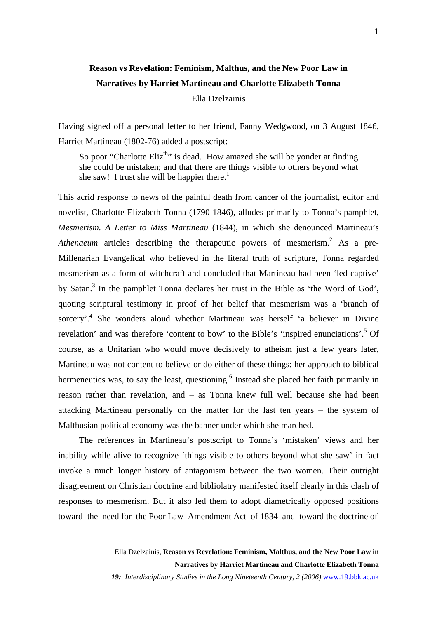## **Reason vs Revelation: Feminism, Malthus, and the New Poor Law in Narratives by Harriet Martineau and Charlotte Elizabeth Tonna**  Ella Dzelzainis

Having signed off a personal letter to her friend, Fanny Wedgwood, on 3 August 1846, Harriet Martineau (1802-76) added a postscript:

So poor "Charlotte Eliz<sup>th</sup>" is dead. How amazed she will be yonder at finding she could be mistaken; and that there are things visible to others beyond what she saw! I trust she will be happier there.<sup>1</sup>

This acrid response to news of the painful death from cancer of the journalist, editor and novelist, Charlotte Elizabeth Tonna (1790-1846), alludes primarily to Tonna's pamphlet, *Mesmerism. A Letter to Miss Martineau* (1844), in which she denounced Martineau's Athenaeum articles describing the therapeutic powers of mesmerism.<sup>[2](#page-14-1)</sup> As a pre-Millenarian Evangelical who believed in the literal truth of scripture, Tonna regarded mesmerism as a form of witchcraft and concluded that Martineau had been 'led captive' bySatan.<sup>3</sup> In the pamphlet Tonna declares her trust in the Bible as 'the Word of God', quoting scriptural testimony in proof of her belief that mesmerism was a 'branch of sorcery'.<sup>[4](#page-14-3)</sup> She wonders aloud whether Martineau was herself 'a believer in Divine revelation' and was therefore 'content to bow' to the Bible's 'inspired enunciations'.<sup>[5](#page-14-4)</sup> Of course, as a Unitarian who would move decisively to atheism just a few years later, Martineau was not content to believe or do either of these things: her approach to biblical hermeneutics was, to say the least, questioning.<sup>6</sup> Instead she placed her faith primarily in reason rather than revelation, and – as Tonna knew full well because she had been attacking Martineau personally on the matter for the last ten years – the system of Malthusian political economy was the banner under which she marched.

The references in Martineau's postscript to Tonna's 'mistaken' views and her inability while alive to recognize 'things visible to others beyond what she saw' in fact invoke a much longer history of antagonism between the two women. Their outright disagreement on Christian doctrine and bibliolatry manifested itself clearly in this clash of responses to mesmerism. But it also led them to adopt diametrically opposed positions toward the need for the Poor Law Amendment Act of 1834 and toward the doctrine of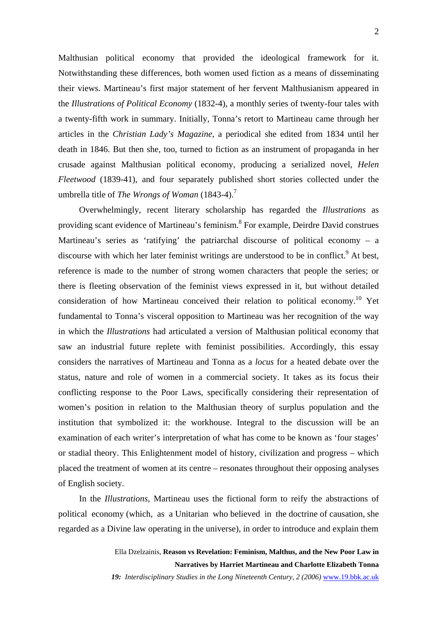Malthusian political economy that provided the ideological framework for it. Notwithstanding these differences, both women used fiction as a means of disseminating their views. Martineau's first major statement of her fervent Malthusianism appeared in the *Illustrations of Political Economy* (1832-4), a monthly series of twenty-four tales with a twenty-fifth work in summary. Initially, Tonna's retort to Martineau came through her articles in the *Christian Lady's Magazine*, a periodical she edited from 1834 until her death in 1846. But then she, too, turned to fiction as an instrument of propaganda in her crusade against Malthusian political economy, producing a serialized novel, *Helen Fleetwood* (1839-41), and four separately published short stories collected under the umbrella title of *The Wrongs of Woman* (1843-4).[7](#page-14-6)

Overwhelmingly, recent literary scholarship has regarded the *Illustrations* as providingscant evidence of Martineau's feminism.<sup>8</sup> For example, Deirdre David construes Martineau's series as 'ratifying' the patriarchal discourse of political economy – a discourse with which her later feminist writings are understood to be in conflict.<sup>[9](#page-14-8)</sup> At best, reference is made to the number of strong women characters that people the series; or there is fleeting observation of the feminist views expressed in it, but without detailed consideration of how Martineau conceived their relation to political economy.<sup>10</sup> Yet fundamental to Tonna's visceral opposition to Martineau was her recognition of the way in which the *Illustrations* had articulated a version of Malthusian political economy that saw an industrial future replete with feminist possibilities. Accordingly, this essay considers the narratives of Martineau and Tonna as a *locus* for a heated debate over the status, nature and role of women in a commercial society. It takes as its focus their conflicting response to the Poor Laws, specifically considering their representation of women's position in relation to the Malthusian theory of surplus population and the institution that symbolized it: the workhouse. Integral to the discussion will be an examination of each writer's interpretation of what has come to be known as 'four stages' or stadial theory. This Enlightenment model of history, civilization and progress – which placed the treatment of women at its centre – resonates throughout their opposing analyses of English society.

In the *Illustrations*, Martineau uses the fictional form to reify the abstractions of political economy (which, as a Unitarian who believed in the doctrine of causation, she regarded as a Divine law operating in the universe), in order to introduce and explain them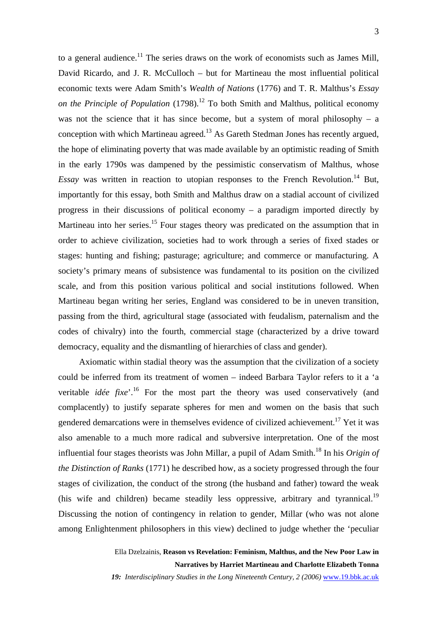to a general audience.<sup>11</sup> The series draws on the work of economists such as James Mill, David Ricardo, and J. R. McCulloch – but for Martineau the most influential political economic texts were Adam Smith's *Wealth of Nations* (1776) and T. R. Malthus's *Essay on the Principle of Population*  $(1798)$ <sup>12</sup> To both Smith and Malthus, political economy was not the science that it has since become, but a system of moral philosophy – a conception with which Martineau agreed.<sup>13</sup> As Gareth Stedman Jones has recently argued. the hope of eliminating poverty that was made available by an optimistic reading of Smith in the early 1790s was dampened by the pessimistic conservatism of Malthus, whose *Essay* was written in reaction to utopian responses to the French Revolution.<sup>14</sup> But, importantly for this essay, both Smith and Malthus draw on a stadial account of civilized progress in their discussions of political economy – a paradigm imported directly by Martineau into her series.<sup>15</sup> Four stages theory was predicated on the assumption that in order to achieve civilization, societies had to work through a series of fixed stades or stages: hunting and fishing; pasturage; agriculture; and commerce or manufacturing. A society's primary means of subsistence was fundamental to its position on the civilized scale, and from this position various political and social institutions followed. When Martineau began writing her series, England was considered to be in uneven transition, passing from the third, agricultural stage (associated with feudalism, paternalism and the codes of chivalry) into the fourth, commercial stage (characterized by a drive toward democracy, equality and the dismantling of hierarchies of class and gender).

Axiomatic within stadial theory was the assumption that the civilization of a society could be inferred from its treatment of women – indeed Barbara Taylor refers to it a 'a veritable *idée fixe*<sup>'.16</sup> For the most part the theory was used conservatively (and complacently) to justify separate spheres for men and women on the basis that such gendered demarcations were in themselves evidence of civilized achievement.<sup>17</sup> Yet it was also amenable to a much more radical and subversive interpretation. One of the most influential four stages theorists was John Millar, a pupil of Adam Smith.[18 I](#page-14-16)n his *Origin of the Distinction of Ranks* (1771) he described how, as a society progressed through the four stages of civilization, the conduct of the strong (the husband and father) toward the weak (his wife and children) became steadily less oppressive, arbitrary and tyrannical.<sup>19</sup> Discussing the notion of contingency in relation to gender, Millar (who was not alone among Enlightenment philosophers in this view) declined to judge whether the 'peculiar

> Ella Dzelzainis, **Reason vs Revelation: Feminism, Malthus, and the New Poor Law in Narratives by Harriet Martineau and Charlotte Elizabeth Tonna**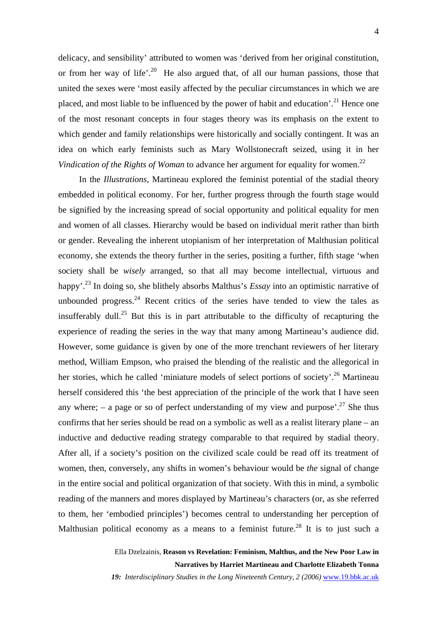delicacy, and sensibility' attributed to women was 'derived from her original constitution, or from her way of life'.<sup>20</sup> He also argued that, of all our human passions, those that united the sexes were 'most easily affected by the peculiar circumstances in which we are placed, and most liable to be influenced by the power of habit and education'.<sup>21</sup> Hence one of the most resonant concepts in four stages theory was its emphasis on the extent to which gender and family relationships were historically and socially contingent. It was an idea on which early feminists such as Mary Wollstonecraft seized, using it in her *Vindication of the Rights of Woman* to advance her argument for equality for women. [22](#page-14-19) 

In the *Illustrations*, Martineau explored the feminist potential of the stadial theory embedded in political economy. For her, further progress through the fourth stage would be signified by the increasing spread of social opportunity and political equality for men and women of all classes. Hierarchy would be based on individual merit rather than birth or gender. Revealing the inherent utopianism of her interpretation of Malthusian political economy, she extends the theory further in the series, positing a further, fifth stage 'when society shall be *wisely* arranged, so that all may become intellectual, virtuous and happy'.[23](#page-14-20) In doing so, she blithely absorbs Malthus's *Essay* into an optimistic narrative of unbounded progress.<sup>24</sup> Recent critics of the series have tended to view the tales as insufferably dull.<sup>25</sup> But this is in part attributable to the difficulty of recapturing the experience of reading the series in the way that many among Martineau's audience did. However, some guidance is given by one of the more trenchant reviewers of her literary method, William Empson, who praised the blending of the realistic and the allegorical in her stories, which he called 'miniature models of select portions of society'.<sup>26</sup> Martineau herself considered this 'the best appreciation of the principle of the work that I have seen any where; – a page or so of perfect understanding of my view and purpose'.<sup>27</sup> She thus confirms that her series should be read on a symbolic as well as a realist literary plane – an inductive and deductive reading strategy comparable to that required by stadial theory. After all, if a society's position on the civilized scale could be read off its treatment of women, then, conversely, any shifts in women's behaviour would be *the* signal of change in the entire social and political organization of that society. With this in mind, a symbolic reading of the manners and mores displayed by Martineau's characters (or, as she referred to them, her 'embodied principles') becomes central to understanding her perception of Malthusian political economy as a means to a feminist future.<sup>28</sup> It is to just such a

> Ella Dzelzainis, **Reason vs Revelation: Feminism, Malthus, and the New Poor Law in Narratives by Harriet Martineau and Charlotte Elizabeth Tonna**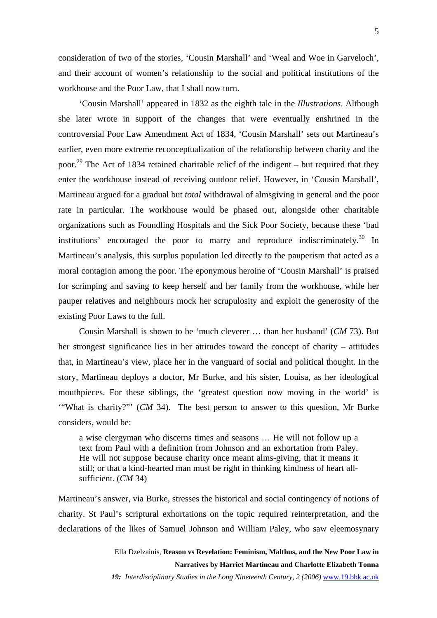consideration of two of the stories, 'Cousin Marshall' and 'Weal and Woe in Garveloch', and their account of women's relationship to the social and political institutions of the workhouse and the Poor Law, that I shall now turn.

'Cousin Marshall' appeared in 1832 as the eighth tale in the *Illustrations*. Although she later wrote in support of the changes that were eventually enshrined in the controversial Poor Law Amendment Act of 1834, 'Cousin Marshall' sets out Martineau's earlier, even more extreme reconceptualization of the relationship between charity and the poor.<sup>29</sup> The Act of 1834 retained charitable relief of the indigent – but required that they enter the workhouse instead of receiving outdoor relief. However, in 'Cousin Marshall', Martineau argued for a gradual but *total* withdrawal of almsgiving in general and the poor rate in particular. The workhouse would be phased out, alongside other charitable organizations such as Foundling Hospitals and the Sick Poor Society, because these 'bad institutions' encouraged the poor to marry and reproduce indiscriminately.<sup>30</sup> In Martineau's analysis, this surplus population led directly to the pauperism that acted as a moral contagion among the poor. The eponymous heroine of 'Cousin Marshall' is praised for scrimping and saving to keep herself and her family from the workhouse, while her pauper relatives and neighbours mock her scrupulosity and exploit the generosity of the existing Poor Laws to the full.

Cousin Marshall is shown to be 'much cleverer … than her husband' (*CM* 73). But her strongest significance lies in her attitudes toward the concept of charity – attitudes that, in Martineau's view, place her in the vanguard of social and political thought. In the story, Martineau deploys a doctor, Mr Burke, and his sister, Louisa, as her ideological mouthpieces. For these siblings, the 'greatest question now moving in the world' is '"What is charity?"' (*CM* 34). The best person to answer to this question, Mr Burke considers, would be:

a wise clergyman who discerns times and seasons … He will not follow up a text from Paul with a definition from Johnson and an exhortation from Paley. He will not suppose because charity once meant alms-giving, that it means it still; or that a kind-hearted man must be right in thinking kindness of heart allsufficient. (*CM* 34)

Martineau's answer, via Burke, stresses the historical and social contingency of notions of charity. St Paul's scriptural exhortations on the topic required reinterpretation, and the declarations of the likes of Samuel Johnson and William Paley, who saw eleemosynary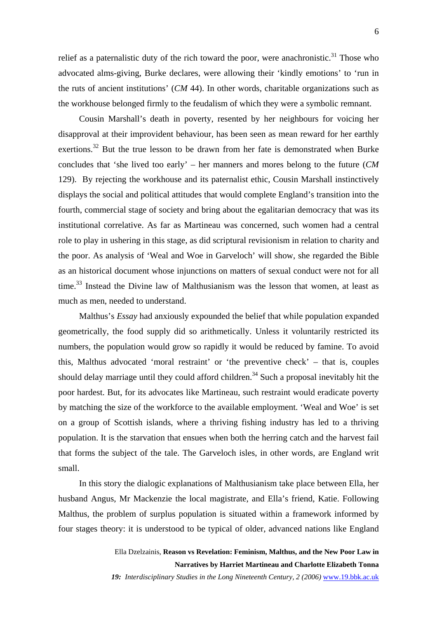relief as a paternalistic duty of the rich toward the poor, were anachronistic.<sup>31</sup> Those who advocated alms-giving, Burke declares, were allowing their 'kindly emotions' to 'run in the ruts of ancient institutions' (*CM* 44). In other words, charitable organizations such as the workhouse belonged firmly to the feudalism of which they were a symbolic remnant.

Cousin Marshall's death in poverty, resented by her neighbours for voicing her disapproval at their improvident behaviour, has been seen as mean reward for her earthly exertions.<sup>32</sup> But the true lesson to be drawn from her fate is demonstrated when Burke concludes that 'she lived too early' – her manners and mores belong to the future (*CM*  129). By rejecting the workhouse and its paternalist ethic, Cousin Marshall instinctively displays the social and political attitudes that would complete England's transition into the fourth, commercial stage of society and bring about the egalitarian democracy that was its institutional correlative. As far as Martineau was concerned, such women had a central role to play in ushering in this stage, as did scriptural revisionism in relation to charity and the poor. As analysis of 'Weal and Woe in Garveloch' will show, she regarded the Bible as an historical document whose injunctions on matters of sexual conduct were not for all time. $33$  Instead the Divine law of Malthusianism was the lesson that women, at least as much as men, needed to understand.

Malthus's *Essay* had anxiously expounded the belief that while population expanded geometrically, the food supply did so arithmetically. Unless it voluntarily restricted its numbers, the population would grow so rapidly it would be reduced by famine. To avoid this, Malthus advocated 'moral restraint' or 'the preventive check' – that is, couples should delay marriage until they could afford children.<sup>34</sup> Such a proposal inevitably hit the poor hardest. But, for its advocates like Martineau, such restraint would eradicate poverty by matching the size of the workforce to the available employment. 'Weal and Woe' is set on a group of Scottish islands, where a thriving fishing industry has led to a thriving population. It is the starvation that ensues when both the herring catch and the harvest fail that forms the subject of the tale. The Garveloch isles, in other words, are England writ small.

In this story the dialogic explanations of Malthusianism take place between Ella, her husband Angus, Mr Mackenzie the local magistrate, and Ella's friend, Katie. Following Malthus, the problem of surplus population is situated within a framework informed by four stages theory: it is understood to be typical of older, advanced nations like England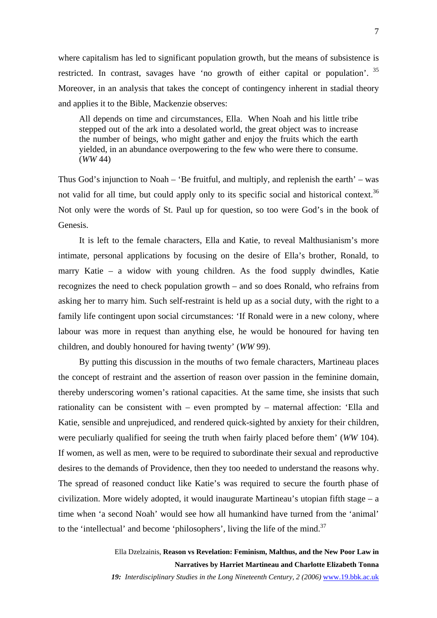where capitalism has led to significant population growth, but the means of subsistence is restricted. In contrast, savages have 'no growth of either capital or population'.  $35$ Moreover, in an analysis that takes the concept of contingency inherent in stadial theory and applies it to the Bible, Mackenzie observes:

All depends on time and circumstances, Ella. When Noah and his little tribe stepped out of the ark into a desolated world, the great object was to increase the number of beings, who might gather and enjoy the fruits which the earth yielded, in an abundance overpowering to the few who were there to consume. (*WW* 44)

Thus God's injunction to Noah – 'Be fruitful, and multiply, and replenish the earth' – was not valid for all time, but could apply only to its specific social and historical context.<sup>36</sup> Not only were the words of St. Paul up for question, so too were God's in the book of Genesis.

It is left to the female characters, Ella and Katie, to reveal Malthusianism's more intimate, personal applications by focusing on the desire of Ella's brother, Ronald, to marry Katie – a widow with young children. As the food supply dwindles, Katie recognizes the need to check population growth – and so does Ronald, who refrains from asking her to marry him. Such self-restraint is held up as a social duty, with the right to a family life contingent upon social circumstances: 'If Ronald were in a new colony, where labour was more in request than anything else, he would be honoured for having ten children, and doubly honoured for having twenty' (*WW* 99).

By putting this discussion in the mouths of two female characters, Martineau places the concept of restraint and the assertion of reason over passion in the feminine domain, thereby underscoring women's rational capacities. At the same time, she insists that such rationality can be consistent with – even prompted by – maternal affection: 'Ella and Katie, sensible and unprejudiced, and rendered quick-sighted by anxiety for their children, were peculiarly qualified for seeing the truth when fairly placed before them' (*WW* 104). If women, as well as men, were to be required to subordinate their sexual and reproductive desires to the demands of Providence, then they too needed to understand the reasons why. The spread of reasoned conduct like Katie's was required to secure the fourth phase of civilization. More widely adopted, it would inaugurate Martineau's utopian fifth stage – a time when 'a second Noah' would see how all humankind have turned from the 'animal' to the 'intellectual' and become 'philosophers', living the life of the mind.<sup>37</sup>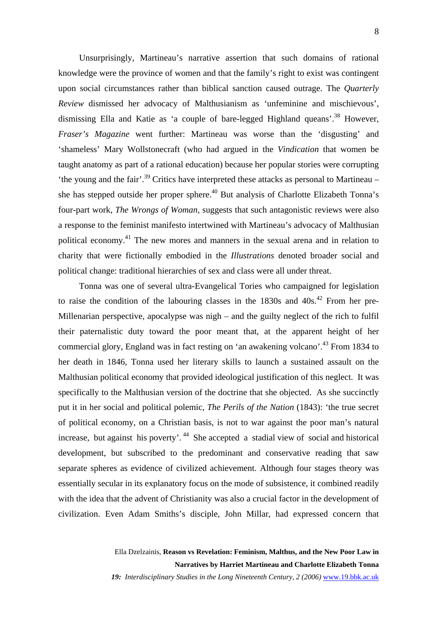Unsurprisingly, Martineau's narrative assertion that such domains of rational knowledge were the province of women and that the family's right to exist was contingent upon social circumstances rather than biblical sanction caused outrage. The *Quarterly Review* dismissed her advocacy of Malthusianism as 'unfeminine and mischievous', dismissing Ella and Katie as 'a couple of bare-legged Highland queans'[.38](#page-14-27) However, *Fraser's Magazine* went further: Martineau was worse than the 'disgusting' and 'shameless' Mary Wollstonecraft (who had argued in the *Vindication* that women be taught anatomy as part of a rational education) because her popular stories were corrupting 'the young and the fair'.<sup>39</sup> Critics have interpreted these attacks as personal to Martineau – she has stepped outside her proper sphere.<sup>40</sup> But analysis of Charlotte Elizabeth Tonna's four-part work, *The Wrongs of Woman*, suggests that such antagonistic reviews were also a response to the feminist manifesto intertwined with Martineau's advocacy of Malthusian political economy.<sup>41</sup> The new mores and manners in the sexual arena and in relation to charity that were fictionally embodied in the *Illustrations* denoted broader social and political change: traditional hierarchies of sex and class were all under threat.

Tonna was one of several ultra-Evangelical Tories who campaigned for legislation to raise the condition of the labouring classes in the  $1830s$  and  $40s<sup>42</sup>$ . From her pre-Millenarian perspective, apocalypse was nigh – and the guilty neglect of the rich to fulfil their paternalistic duty toward the poor meant that, at the apparent height of her commercial glory, England was in fact resting on 'an awakening volcano'.<sup>43</sup> From 1834 to her death in 1846, Tonna used her literary skills to launch a sustained assault on the Malthusian political economy that provided ideological justification of this neglect. It was specifically to the Malthusian version of the doctrine that she objected. As she succinctly put it in her social and political polemic, *The Perils of the Nation* (1843): 'the true secret of political economy, on a Christian basis, is not to war against the poor man's natural increase, but against his poverty'.<sup>44</sup> She accepted a stadial view of social and historical development, but subscribed to the predominant and conservative reading that saw separate spheres as evidence of civilized achievement. Although four stages theory was essentially secular in its explanatory focus on the mode of subsistence, it combined readily with the idea that the advent of Christianity was also a crucial factor in the development of civilization. Even Adam Smiths's disciple, John Millar, had expressed concern that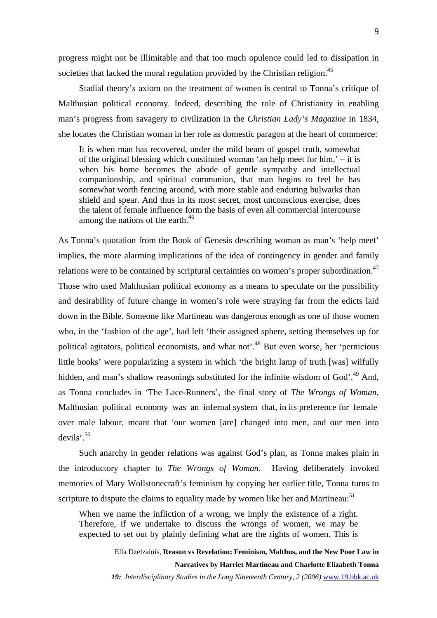progress might not be illimitable and that too much opulence could led to dissipation in societies that lacked the moral regulation provided by the Christian religion.<sup>45</sup>

Stadial theory's axiom on the treatment of women is central to Tonna's critique of Malthusian political economy. Indeed, describing the role of Christianity in enabling man's progress from savagery to civilization in the *Christian Lady's Magazine* in 1834, she locates the Christian woman in her role as domestic paragon at the heart of commerce:

It is when man has recovered, under the mild beam of gospel truth, somewhat of the original blessing which constituted woman 'an help meet for him,' – it is when his home becomes the abode of gentle sympathy and intellectual companionship, and spiritual communion, that man begins to feel he has somewhat worth fencing around, with more stable and enduring bulwarks than shield and spear. And thus in its most secret, most unconscious exercise, does the talent of female influence form the basis of even all commercial intercourse among the nations of the earth.<sup>[46](#page-14-30)</sup>

As Tonna's quotation from the Book of Genesis describing woman as man's 'help meet' implies, the more alarming implications of the idea of contingency in gender and family relations were to be contained by scriptural certainties on women's proper subordination.<sup>47</sup> Those who used Malthusian political economy as a means to speculate on the possibility and desirability of future change in women's role were straying far from the edicts laid down in the Bible. Someone like Martineau was dangerous enough as one of those women who, in the 'fashion of the age', had left 'their assigned sphere, setting themselves up for political agitators, political economists, and what not'.[48](#page-14-28) But even worse, her 'pernicious little books' were popularizing a system in which 'the bright lamp of truth [was] wilfully hidden, and man's shallow reasonings substituted for the infinite wisdom of God'.<sup>49</sup> And, as Tonna concludes in 'The Lace-Runners', the final story of *The Wrongs of Woman*, Malthusian political economy was an infernal system that, in its preference for female over male labour, meant that 'our women [are] changed into men, and our men into devils'.[50](#page-14-29) 

Such anarchy in gender relations was against God's plan, as Tonna makes plain in the introductory chapter to *The Wrongs of Woman*. Having deliberately invoked memories of Mary Wollstonecraft's feminism by copying her earlier title, Tonna turns to scripture to dispute the claims to equality made by women like her and Martineau:<sup>51</sup>

When we name the infliction of a wrong, we imply the existence of a right. Therefore, if we undertake to discuss the wrongs of women, we may be expected to set out by plainly defining what are the rights of women. This is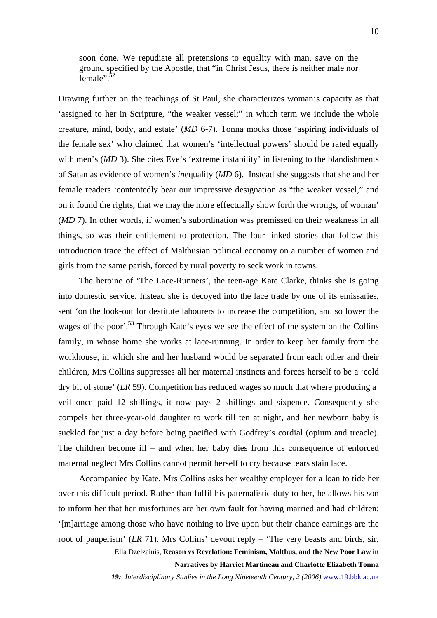soon done. We repudiate all pretensions to equality with man, save on the ground specified by the Apostle, that "in Christ Jesus, there is neither male nor female".<sup>[52](#page-14-32)</sup>

Drawing further on the teachings of St Paul, she characterizes woman's capacity as that 'assigned to her in Scripture, "the weaker vessel;" in which term we include the whole creature, mind, body, and estate' (*MD* 6-7). Tonna mocks those 'aspiring individuals of the female sex' who claimed that women's 'intellectual powers' should be rated equally with men's (*MD* 3). She cites Eve's 'extreme instability' in listening to the blandishments of Satan as evidence of women's *in*equality (*MD* 6). Instead she suggests that she and her female readers 'contentedly bear our impressive designation as "the weaker vessel," and on it found the rights, that we may the more effectually show forth the wrongs, of woman' (*MD* 7). In other words, if women's subordination was premissed on their weakness in all things, so was their entitlement to protection. The four linked stories that follow this introduction trace the effect of Malthusian political economy on a number of women and girls from the same parish, forced by rural poverty to seek work in towns.

The heroine of 'The Lace-Runners', the teen-age Kate Clarke, thinks she is going into domestic service. Instead she is decoyed into the lace trade by one of its emissaries, sent 'on the look-out for destitute labourers to increase the competition, and so lower the wages of the poor'.<sup>53</sup> Through Kate's eyes we see the effect of the system on the Collins family, in whose home she works at lace-running. In order to keep her family from the workhouse, in which she and her husband would be separated from each other and their children, Mrs Collins suppresses all her maternal instincts and forces herself to be a 'cold dry bit of stone' (*LR* 59). Competition has reduced wages so much that where producing a veil once paid 12 shillings, it now pays 2 shillings and sixpence. Consequently she compels her three-year-old daughter to work till ten at night, and her newborn baby is suckled for just a day before being pacified with Godfrey's cordial (opium and treacle). The children become ill – and when her baby dies from this consequence of enforced maternal neglect Mrs Collins cannot permit herself to cry because tears stain lace.

Accompanied by Kate, Mrs Collins asks her wealthy employer for a loan to tide her over this difficult period. Rather than fulfil his paternalistic duty to her, he allows his son to inform her that her misfortunes are her own fault for having married and had children: '[m]arriage among those who have nothing to live upon but their chance earnings are the root of pauperism' (*LR* 71). Mrs Collins' devout reply – 'The very beasts and birds, sir, Ella Dzelzainis, **Reason vs Revelation: Feminism, Malthus, and the New Poor Law in**

**Narratives by Harriet Martineau and Charlotte Elizabeth Tonna**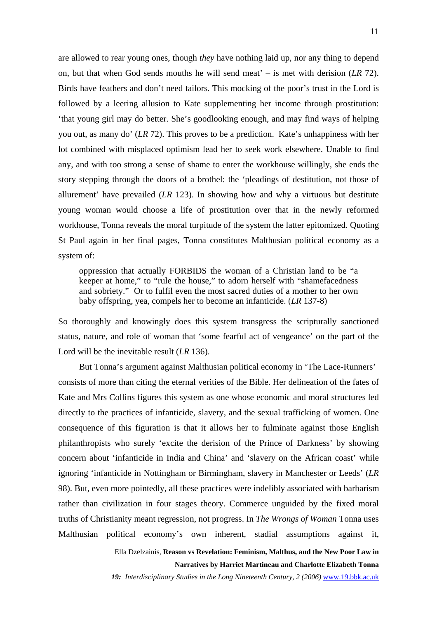are allowed to rear young ones, though *they* have nothing laid up, nor any thing to depend on, but that when God sends mouths he will send meat' – is met with derision (*LR* 72). Birds have feathers and don't need tailors. This mocking of the poor's trust in the Lord is followed by a leering allusion to Kate supplementing her income through prostitution: 'that young girl may do better. She's goodlooking enough, and may find ways of helping you out, as many do' (*LR* 72). This proves to be a prediction. Kate's unhappiness with her lot combined with misplaced optimism lead her to seek work elsewhere. Unable to find any, and with too strong a sense of shame to enter the workhouse willingly, she ends the story stepping through the doors of a brothel: the 'pleadings of destitution, not those of allurement' have prevailed (*LR* 123). In showing how and why a virtuous but destitute young woman would choose a life of prostitution over that in the newly reformed workhouse, Tonna reveals the moral turpitude of the system the latter epitomized. Quoting St Paul again in her final pages, Tonna constitutes Malthusian political economy as a system of:

oppression that actually FORBIDS the woman of a Christian land to be "a keeper at home," to "rule the house," to adorn herself with "shamefacedness and sobriety." Or to fulfil even the most sacred duties of a mother to her own baby offspring, yea, compels her to become an infanticide. (*LR* 137-8)

So thoroughly and knowingly does this system transgress the scripturally sanctioned status, nature, and role of woman that 'some fearful act of vengeance' on the part of the Lord will be the inevitable result (*LR* 136).

But Tonna's argument against Malthusian political economy in 'The Lace-Runners' consists of more than citing the eternal verities of the Bible. Her delineation of the fates of Kate and Mrs Collins figures this system as one whose economic and moral structures led directly to the practices of infanticide, slavery, and the sexual trafficking of women. One consequence of this figuration is that it allows her to fulminate against those English philanthropists who surely 'excite the derision of the Prince of Darkness' by showing concern about 'infanticide in India and China' and 'slavery on the African coast' while ignoring 'infanticide in Nottingham or Birmingham, slavery in Manchester or Leeds' (*LR*  98). But, even more pointedly, all these practices were indelibly associated with barbarism rather than civilization in four stages theory. Commerce unguided by the fixed moral truths of Christianity meant regression, not progress. In *The Wrongs of Woman* Tonna uses Malthusian political economy's own inherent, stadial assumptions against it,

> Ella Dzelzainis, **Reason vs Revelation: Feminism, Malthus, and the New Poor Law in Narratives by Harriet Martineau and Charlotte Elizabeth Tonna**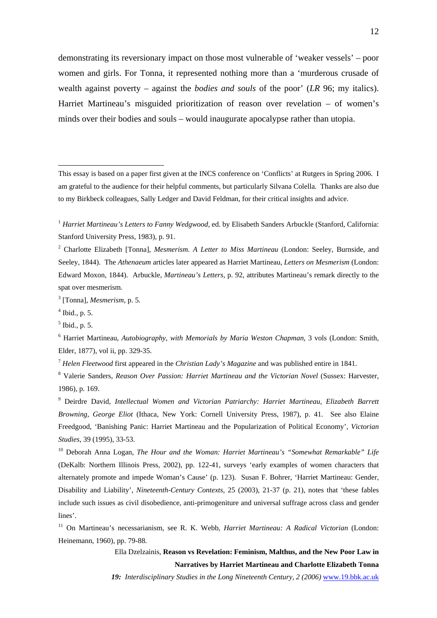demonstrating its reversionary impact on those most vulnerable of 'weaker vessels' – poor women and girls. For Tonna, it represented nothing more than a 'murderous crusade of wealth against poverty – against the *bodies and souls* of the poor' (*LR* 96; my italics). Harriet Martineau's misguided prioritization of reason over revelation – of women's minds over their bodies and souls – would inaugurate apocalypse rather than utopia.

3 [Tonna], *Mesmerism*, p. 5.

 $\overline{a}$ 

<sup>7</sup> *Helen Fleetwood* first appeared in the *Christian Lady's Magazine* and was published entire in 1841.

8 Valerie Sanders, *Reason Over Passion: Harriet Martineau and the Victorian Novel* (Sussex: Harvester, 1986), p. 169.

9 Deirdre David, *Intellectual Women and Victorian Patriarchy: Harriet Martineau, Elizabeth Barrett Browning, George Eliot* (Ithaca, New York: Cornell University Press, 1987), p. 41. See also Elaine Freedgood, 'Banishing Panic: Harriet Martineau and the Popularization of Political Economy', *Victorian Studies*, 39 (1995), 33-53.

<sup>10</sup> Deborah Anna Logan, *The Hour and the Woman: Harriet Martineau's "Somewhat Remarkable" Life* (DeKalb: Northern Illinois Press, 2002), pp. 122-41, surveys 'early examples of women characters that alternately promote and impede Woman's Cause' (p. 123). Susan F. Bohrer, 'Harriet Martineau: Gender, Disability and Liability', *Nineteenth-Century Contexts*, 25 (2003), 21-37 (p. 21), notes that 'these fables include such issues as civil disobedience, anti-primogeniture and universal suffrage across class and gender lines'.

11 On Martineau's necessarianism, see R. K. Webb, *Harriet Martineau: A Radical Victorian* (London: Heinemann, 1960), pp. 79-88.

> Ella Dzelzainis, **Reason vs Revelation: Feminism, Malthus, and the New Poor Law in Narratives by Harriet Martineau and Charlotte Elizabeth Tonna**

This essay is based on a paper first given at the INCS conference on 'Conflicts' at Rutgers in Spring 2006. I am grateful to the audience for their helpful comments, but particularly Silvana Colella. Thanks are also due to my Birkbeck colleagues, Sally Ledger and David Feldman, for their critical insights and advice.

<sup>&</sup>lt;sup>1</sup> *Harriet Martineau's Letters to Fanny Wedgwood,* ed. by Elisabeth Sanders Arbuckle (Stanford, California: Stanford University Press, 1983), p. 91.

<sup>&</sup>lt;sup>2</sup> Charlotte Elizabeth [Tonna], *Mesmerism. A Letter to Miss Martineau* (London: Seeley, Burnside, and Seeley, 1844). The *Athenaeum* articles later appeared as Harriet Martineau, *Letters on Mesmerism* (London: Edward Moxon, 1844). Arbuckle, *Martineau's Letters*, p. 92, attributes Martineau's remark directly to the spat over mesmerism.

 $<sup>4</sup>$  Ibid., p. 5.</sup>

<sup>5</sup> Ibid., p. 5.

<sup>6</sup> Harriet Martineau, *Autobiography, with Memorials by Maria Weston Chapman*, 3 vols (London: Smith, Elder, 1877), vol ii, pp. 329-35.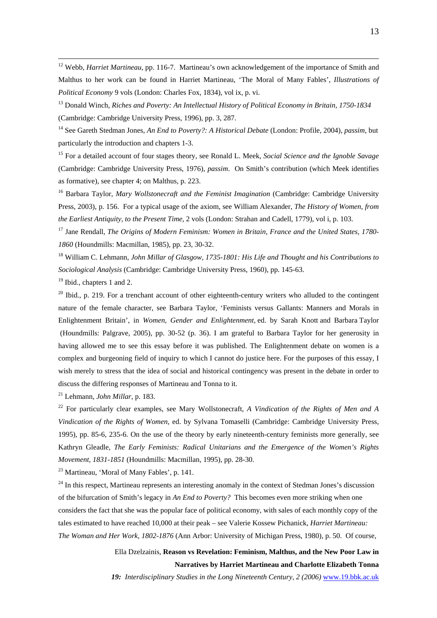<sup>12</sup> Webb, *Harriet Martineau*, pp. 116-7. Martineau's own acknowledgement of the importance of Smith and Malthus to her work can be found in Harriet Martineau, 'The Moral of Many Fables', *Illustrations of Political Economy* 9 vols (London: Charles Fox, 1834), vol ix, p. vi.

13 Donald Winch, *Riches and Poverty: An Intellectual History of Political Economy in Britain, 1750-1834* (Cambridge: Cambridge University Press, 1996), pp. 3, 287.

14 See Gareth Stedman Jones, *An End to Poverty?: A Historical Debate* (London: Profile, 2004), *passim*, but particularly the introduction and chapters 1-3.

15 For a detailed account of four stages theory, see Ronald L. Meek, *Social Science and the Ignoble Savage* (Cambridge: Cambridge University Press, 1976), *passim*. On Smith's contribution (which Meek identifies as formative), see chapter 4; on Malthus, p. 223.

<sup>16</sup> Barbara Taylor, *Mary Wollstonecraft and the Feminist Imagination* (Cambridge: Cambridge University Press, 2003), p. 156. For a typical usage of the axiom, see William Alexander, *The History of Women, from the Earliest Antiquity, to the Present Time*, 2 vols (London: Strahan and Cadell, 1779), vol i, p. 103.

17 Jane Rendall, *The Origins of Modern Feminism: Women in Britain, France and the United States, 1780- 1860* (Houndmills: Macmillan, 1985), pp. 23, 30-32.

18 William C. Lehmann, *John Millar of Glasgow, 1735-1801: His Life and Thought and his Contributions to Sociological Analysis* (Cambridge: Cambridge University Press, 1960), pp. 145-63.

<sup>19</sup> Ibid., chapters 1 and 2.

 $20$  Ibid., p. 219. For a trenchant account of other eighteenth-century writers who alluded to the contingent nature of the female character, see Barbara Taylor, 'Feminists versus Gallants: Manners and Morals in Enlightenment Britain', in *Women, Gender and Enlightenment,* ed. by Sarah Knott and Barbara Taylor (Houndmills: Palgrave, 2005), pp. 30-52 (p. 36). I am grateful to Barbara Taylor for her generosity in having allowed me to see this essay before it was published. The Enlightenment debate on women is a complex and burgeoning field of inquiry to which I cannot do justice here. For the purposes of this essay, I wish merely to stress that the idea of social and historical contingency was present in the debate in order to discuss the differing responses of Martineau and Tonna to it.

21 Lehmann, *John Millar*, p. 183.

22 For particularly clear examples, see Mary Wollstonecraft, *A Vindication of the Rights of Men and A Vindication of the Rights of Women*, ed. by Sylvana Tomaselli (Cambridge: Cambridge University Press, 1995), pp. 85-6, 235-6. On the use of the theory by early nineteenth-century feminists more generally, see Kathryn Gleadle, *The Early Feminists: Radical Unitarians and the Emergence of the Women's Rights Movement, 1831-1851* (Houndmills: Macmillan, 1995), pp. 28-30.

23 Martineau, 'Moral of Many Fables', p. 141.

 $24$  In this respect, Martineau represents an interesting anomaly in the context of Stedman Jones's discussion of the bifurcation of Smith's legacy in *An End to Poverty?* This becomes even more striking when one considers the fact that she was the popular face of political economy, with sales of each monthly copy of the tales estimated to have reached 10,000 at their peak – see Valerie Kossew Pichanick, *Harriet Martineau: The Woman and Her Work, 1802-1876* (Ann Arbor: University of Michigan Press, 1980), p. 50. Of course,

> Ella Dzelzainis, **Reason vs Revelation: Feminism, Malthus, and the New Poor Law in Narratives by Harriet Martineau and Charlotte Elizabeth Tonna**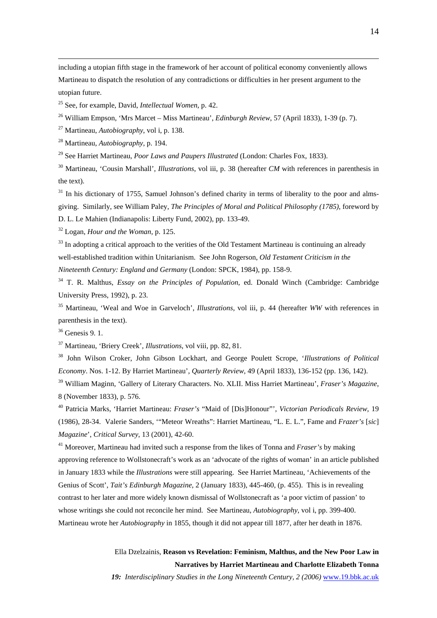including a utopian fifth stage in the framework of her account of political economy conveniently allows Martineau to dispatch the resolution of any contradictions or difficulties in her present argument to the utopian future.

25 See, for example, David, *Intellectual Women*, p. 42.

26 William Empson, 'Mrs Marcet – Miss Martineau', *Edinburgh Review*, 57 (April 1833), 1-39 (p. 7).

27 Martineau, *Autobiography*, vol i, p. 138.

28 Martineau, *Autobiography,* p. 194.

29 See Harriet Martineau, *Poor Laws and Paupers Illustrated* (London: Charles Fox, 1833).

30 Martineau, 'Cousin Marshall', *Illustrations*, vol iii, p. 38 (hereafter *CM* with references in parenthesis in the text).

 $31$  In his dictionary of 1755, Samuel Johnson's defined charity in terms of liberality to the poor and almsgiving. Similarly, see William Paley, *The Principles of Moral and Political Philosophy (1785)*, foreword by D. L. Le Mahien (Indianapolis: Liberty Fund, 2002), pp. 133-49.

32 Logan, *Hour and the Woman*, p. 125.

 $33$  In adopting a critical approach to the verities of the Old Testament Martineau is continuing an already well-established tradition within Unitarianism. See John Rogerson, *Old Testament Criticism in the Nineteenth Century: England and Germany* (London: SPCK, 1984), pp. 158-9.

34 T. R. Malthus, *Essay on the Principles of Population*, ed. Donald Winch (Cambridge: Cambridge University Press, 1992), p. 23.

35 Martineau, 'Weal and Woe in Garveloch', *Illustrations*, vol iii, p. 44 (hereafter *WW* with references in parenthesis in the text).

36 Genesis 9. 1.

37 Martineau, 'Briery Creek', *Illustrations*, vol viii, pp. 82, 81.

<sup>38</sup> John Wilson Croker, John Gibson Lockhart, and George Poulett Scrope, '*Illustrations of Political Economy*. Nos. 1-12. By Harriet Martineau', *Quarterly Review*, 49 (April 1833), 136-152 (pp. 136, 142).

<sup>39</sup> William Maginn, 'Gallery of Literary Characters. No. XLII. Miss Harriet Martineau', *Fraser's Magazine*, 8 (November 1833), p. 576.

40 Patricia Marks, 'Harriet Martineau: *Fraser's* "Maid of [Dis]Honour"', *Victorian Periodicals Review*, 19 (1986), 28-34. Valerie Sanders, '"Meteor Wreaths": Harriet Martineau, "L. E. L.", Fame and *Frazer's* [*sic*] *Magazine*', *Critical Survey*, 13 (2001), 42-60.

41 Moreover, Martineau had invited such a response from the likes of Tonna and *Fraser's* by making approving reference to Wollstonecraft's work as an 'advocate of the rights of woman' in an article published in January 1833 while the *Illustrations* were still appearing. See Harriet Martineau, 'Achievements of the Genius of Scott', *Tait's Edinburgh Magazine*, 2 (January 1833), 445-460, (p. 455). This is in revealing contrast to her later and more widely known dismissal of Wollstonecraft as 'a poor victim of passion' to whose writings she could not reconcile her mind. See Martineau, *Autobiography*, vol i, pp. 399-400. Martineau wrote her *Autobiography* in 1855, though it did not appear till 1877, after her death in 1876.

> Ella Dzelzainis, **Reason vs Revelation: Feminism, Malthus, and the New Poor Law in Narratives by Harriet Martineau and Charlotte Elizabeth Tonna**